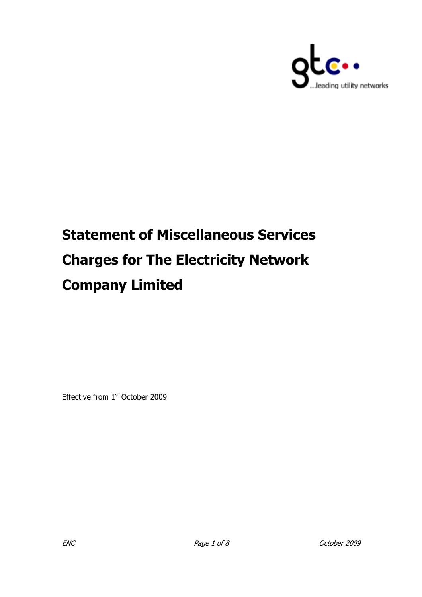

# Statement of Miscellaneous Services Charges for The Electricity Network Company Limited

Effective from 1<sup>st</sup> October 2009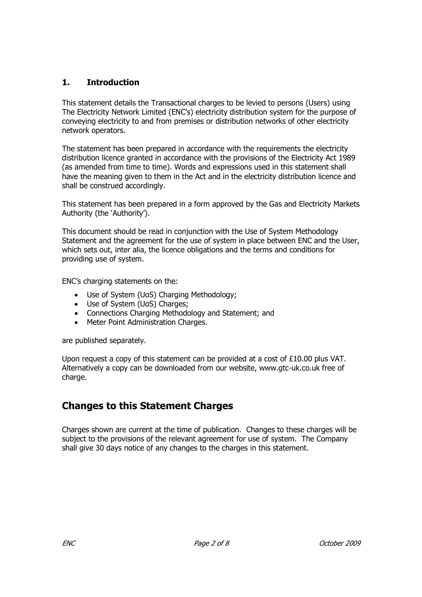### 1. Introduction

This statement details the Transactional charges to be levied to persons (Users) using The Electricity Network Limited (ENC's) electricity distribution system for the purpose of conveying electricity to and from premises or distribution networks of other electricity network operators.

The statement has been prepared in accordance with the requirements the electricity distribution licence granted in accordance with the provisions of the Electricity Act 1989 (as amended from time to time). Words and expressions used in this statement shall have the meaning given to them in the Act and in the electricity distribution licence and shall be construed accordingly.

This statement has been prepared in a form approved by the Gas and Electricity Markets Authority (the 'Authority').

This document should be read in conjunction with the Use of System Methodology Statement and the agreement for the use of system in place between ENC and the User, which sets out, inter alia, the licence obligations and the terms and conditions for providing use of system.

ENC's charging statements on the:

- Use of System (UoS) Charging Methodology;
- Use of System (UoS) Charges;
- Connections Charging Methodology and Statement; and
- Meter Point Administration Charges.

are published separately.

Upon request a copy of this statement can be provided at a cost of £10.00 plus VAT. Alternatively a copy can be downloaded from our website, www.gtc-uk.co.uk free of charge.

# Changes to this Statement Charges

Charges shown are current at the time of publication. Changes to these charges will be subject to the provisions of the relevant agreement for use of system. The Company shall give 30 days notice of any changes to the charges in this statement.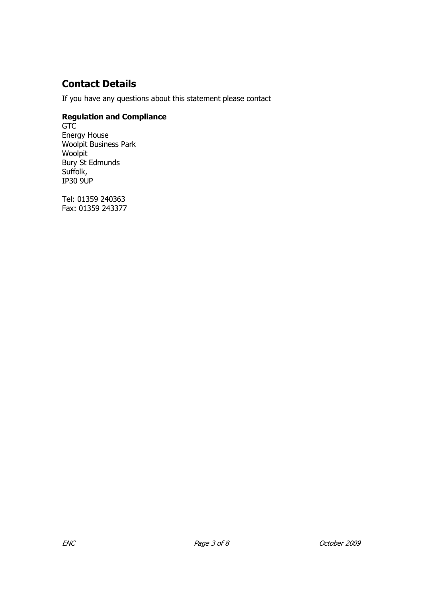# Contact Details

If you have any questions about this statement please contact

## Regulation and Compliance

GTC Energy House Woolpit Business Park Woolpit Bury St Edmunds Suffolk, IP30 9UP

Tel: 01359 240363 Fax: 01359 243377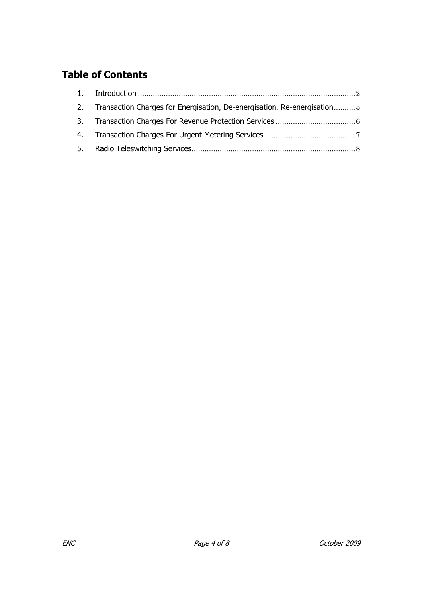# Table of Contents

| 2. Transaction Charges for Energisation, De-energisation, Re-energisation5 |  |
|----------------------------------------------------------------------------|--|
|                                                                            |  |
|                                                                            |  |
|                                                                            |  |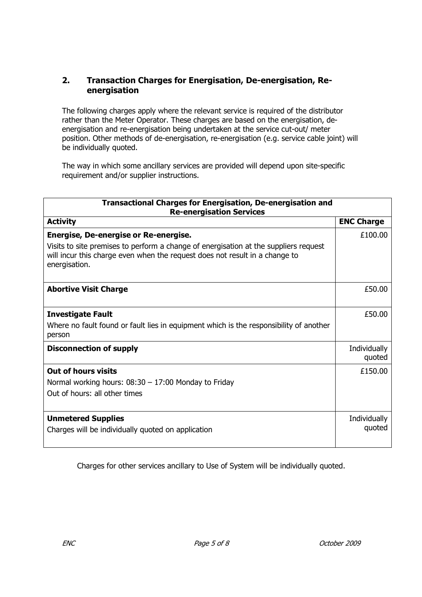#### 2. Transaction Charges for Energisation, De-energisation, Reenergisation

The following charges apply where the relevant service is required of the distributor rather than the Meter Operator. These charges are based on the energisation, deenergisation and re-energisation being undertaken at the service cut-out/ meter position. Other methods of de-energisation, re-energisation (e.g. service cable joint) will be individually quoted.

The way in which some ancillary services are provided will depend upon site-specific requirement and/or supplier instructions.

| <b>Transactional Charges for Energisation, De-energisation and</b><br><b>Re-energisation Services</b>                                                                                |                        |  |  |
|--------------------------------------------------------------------------------------------------------------------------------------------------------------------------------------|------------------------|--|--|
| <b>Activity</b>                                                                                                                                                                      | <b>ENC Charge</b>      |  |  |
| <b>Energise, De-energise or Re-energise.</b>                                                                                                                                         | £100.00                |  |  |
| Visits to site premises to perform a change of energisation at the suppliers request<br>will incur this charge even when the request does not result in a change to<br>energisation. |                        |  |  |
| <b>Abortive Visit Charge</b>                                                                                                                                                         | £50.00                 |  |  |
| <b>Investigate Fault</b>                                                                                                                                                             | £50.00                 |  |  |
| Where no fault found or fault lies in equipment which is the responsibility of another<br>person                                                                                     |                        |  |  |
| <b>Disconnection of supply</b>                                                                                                                                                       | Individually<br>quoted |  |  |
| <b>Out of hours visits</b>                                                                                                                                                           | £150.00                |  |  |
| Normal working hours: $08:30 - 17:00$ Monday to Friday                                                                                                                               |                        |  |  |
| Out of hours: all other times                                                                                                                                                        |                        |  |  |
| <b>Unmetered Supplies</b>                                                                                                                                                            | Individually           |  |  |
| Charges will be individually quoted on application                                                                                                                                   | quoted                 |  |  |

Charges for other services ancillary to Use of System will be individually quoted.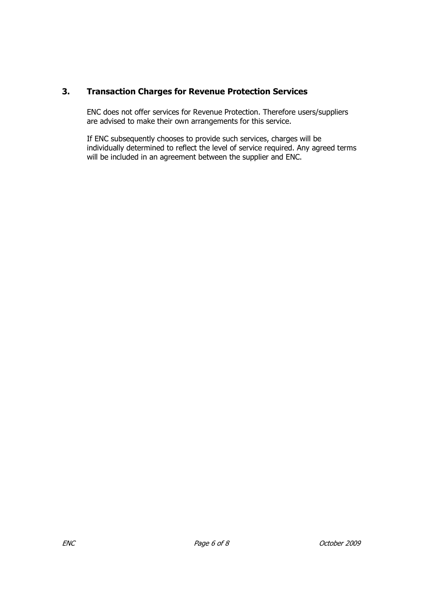## 3. Transaction Charges for Revenue Protection Services

ENC does not offer services for Revenue Protection. Therefore users/suppliers are advised to make their own arrangements for this service.

If ENC subsequently chooses to provide such services, charges will be individually determined to reflect the level of service required. Any agreed terms will be included in an agreement between the supplier and ENC.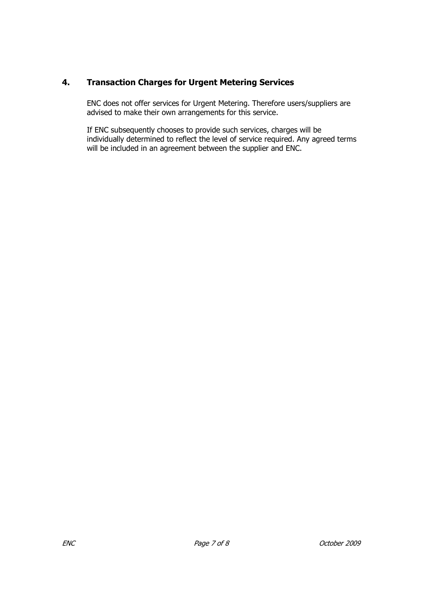### 4. Transaction Charges for Urgent Metering Services

ENC does not offer services for Urgent Metering. Therefore users/suppliers are advised to make their own arrangements for this service.

If ENC subsequently chooses to provide such services, charges will be individually determined to reflect the level of service required. Any agreed terms will be included in an agreement between the supplier and ENC.